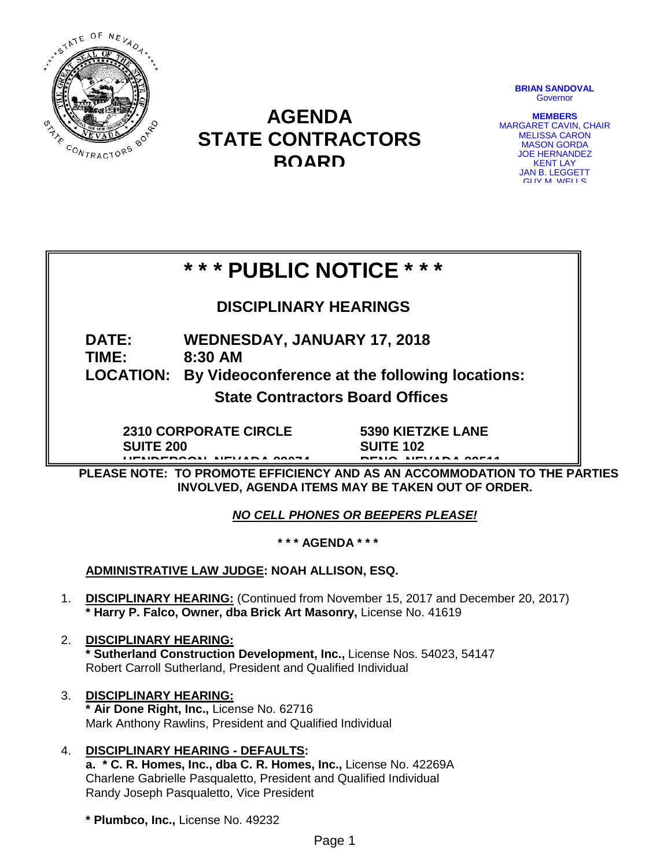

## **AGENDA STATE CONTRACTORS BOARD**

**BRIAN SANDOVAL Governor** 

**MEMBERS** MARGARET CAVIN, CHAIR MELISSA CARON MASON GORDA JOE HERNANDEZ **KENT LAY** JAN B. LEGGETT GUY M WELLS

# **\* \* \* PUBLIC NOTICE \* \* \***

## **DISCIPLINARY HEARINGS**

### **DATE: WEDNESDAY, JANUARY 17, 2018 TIME: 8:30 AM**

## **LOCATION: By Videoconference at the following locations:**

**State Contractors Board Offices**

**2310 CORPORATE CIRCLE SUITE 200 HENDERSON NEVADA 89074**

**5390 KIETZKE LANE SUITE 102** 

**RENO NEVADA 89511**

**PLEASE NOTE: TO PROMOTE EFFICIENCY AND AS AN ACCOMMODATION TO THE PARTIES INVOLVED, AGENDA ITEMS MAY BE TAKEN OUT OF ORDER.**

*NO CELL PHONES OR BEEPERS PLEASE!* 

**\* \* \* AGENDA \* \* \***

**ADMINISTRATIVE LAW JUDGE: NOAH ALLISON, ESQ.**

- 1. **DISCIPLINARY HEARING:** (Continued from November 15, 2017 and December 20, 2017) **\* Harry P. Falco, Owner, dba Brick Art Masonry,** License No. 41619
- 2. **DISCIPLINARY HEARING: \* Sutherland Construction Development, Inc.,** License Nos. 54023, 54147 Robert Carroll Sutherland, President and Qualified Individual
- 3. **DISCIPLINARY HEARING: \* Air Done Right, Inc.,** License No. 62716 Mark Anthony Rawlins, President and Qualified Individual
- 4. **DISCIPLINARY HEARING - DEFAULTS:**

**a. \* C. R. Homes, Inc., dba C. R. Homes, Inc.,** License No. 42269A Charlene Gabrielle Pasqualetto, President and Qualified Individual Randy Joseph Pasqualetto, Vice President

**\* Plumbco, Inc.,** License No. 49232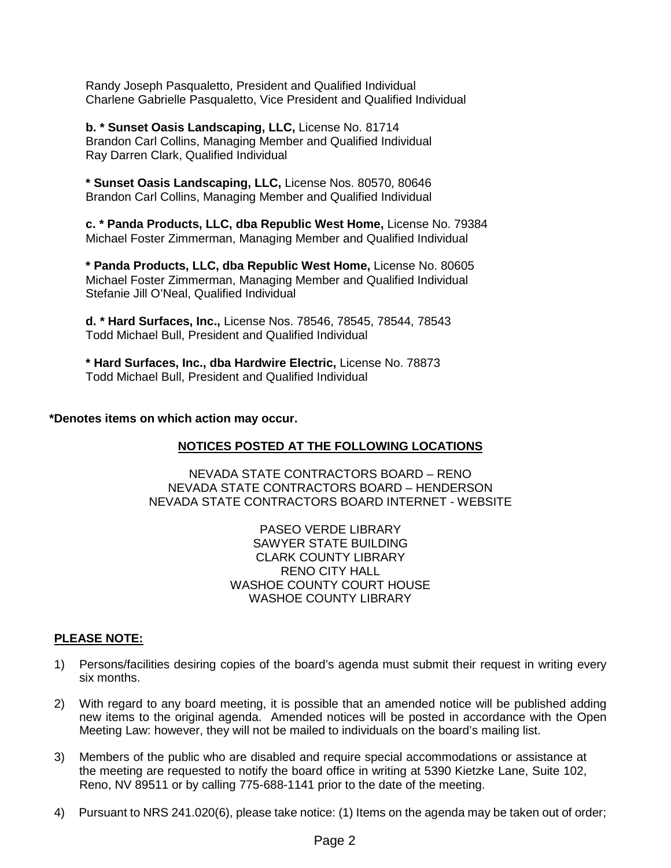Randy Joseph Pasqualetto, President and Qualified Individual Charlene Gabrielle Pasqualetto, Vice President and Qualified Individual

**b. \* Sunset Oasis Landscaping, LLC,** License No. 81714 Brandon Carl Collins, Managing Member and Qualified Individual Ray Darren Clark, Qualified Individual

**\* Sunset Oasis Landscaping, LLC,** License Nos. 80570, 80646 Brandon Carl Collins, Managing Member and Qualified Individual

**c. \* Panda Products, LLC, dba Republic West Home,** License No. 79384 Michael Foster Zimmerman, Managing Member and Qualified Individual

**\* Panda Products, LLC, dba Republic West Home,** License No. 80605 Michael Foster Zimmerman, Managing Member and Qualified Individual Stefanie Jill O'Neal, Qualified Individual

**d. \* Hard Surfaces, Inc.,** License Nos. 78546, 78545, 78544, 78543 Todd Michael Bull, President and Qualified Individual

**\* Hard Surfaces, Inc., dba Hardwire Electric,** License No. 78873 Todd Michael Bull, President and Qualified Individual

#### **\*Denotes items on which action may occur.**

#### **NOTICES POSTED AT THE FOLLOWING LOCATIONS**

NEVADA STATE CONTRACTORS BOARD – RENO NEVADA STATE CONTRACTORS BOARD – HENDERSON NEVADA STATE CONTRACTORS BOARD INTERNET - WEBSITE

> PASEO VERDE LIBRARY SAWYER STATE BUILDING CLARK COUNTY LIBRARY RENO CITY HALL WASHOE COUNTY COURT HOUSE WASHOE COUNTY LIBRARY

#### **PLEASE NOTE:**

- 1) Persons/facilities desiring copies of the board's agenda must submit their request in writing every six months.
- 2) With regard to any board meeting, it is possible that an amended notice will be published adding new items to the original agenda. Amended notices will be posted in accordance with the Open Meeting Law: however, they will not be mailed to individuals on the board's mailing list.
- 3) Members of the public who are disabled and require special accommodations or assistance at the meeting are requested to notify the board office in writing at 5390 Kietzke Lane, Suite 102, Reno, NV 89511 or by calling 775-688-1141 prior to the date of the meeting.
- 4) Pursuant to NRS 241.020(6), please take notice: (1) Items on the agenda may be taken out of order;